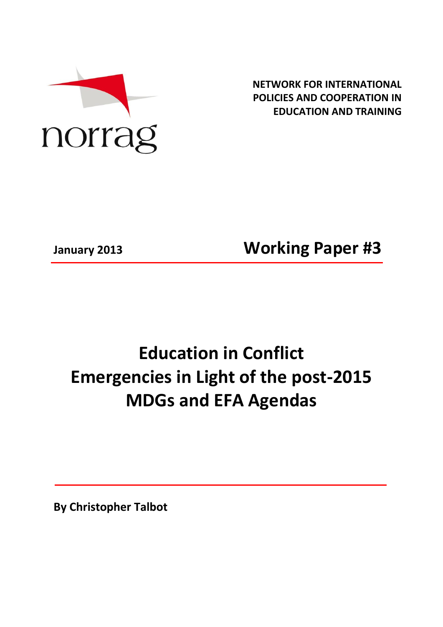

**NETWORK FOR INTERNATIONAL POLICIES AND COOPERATION IN EDUCATION AND TRAINING**

**January 2013 Working Paper #3**

# **Education in Conflict Emergencies in Light of the post-2015 MDGs and EFA Agendas**

**By Christopher Talbot**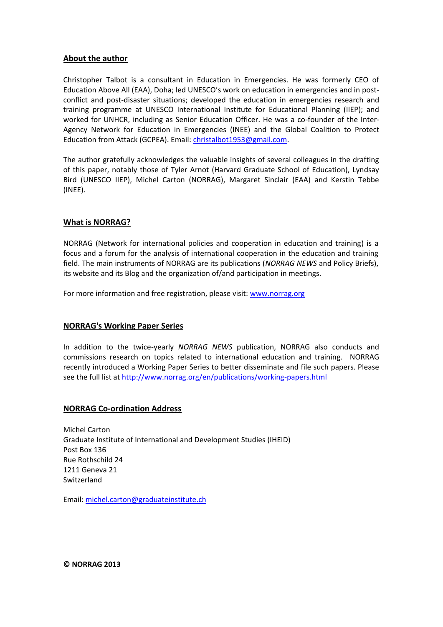## **About the author**

Christopher Talbot is a consultant in Education in Emergencies. He was formerly CEO of Education Above All (EAA), Doha; led UNESCO's work on education in emergencies and in postconflict and post-disaster situations; developed the education in emergencies research and training programme at UNESCO International Institute for Educational Planning (IIEP); and worked for UNHCR, including as Senior Education Officer. He was a co-founder of the Inter-Agency Network for Education in Emergencies (INEE) and the Global Coalition to Protect Education from Attack (GCPEA). Email[: christalbot1953@gmail.com.](mailto:christalbot1953@gmail.com)

The author gratefully acknowledges the valuable insights of several colleagues in the drafting of this paper, notably those of Tyler Arnot (Harvard Graduate School of Education), Lyndsay Bird (UNESCO IIEP), Michel Carton (NORRAG), Margaret Sinclair (EAA) and Kerstin Tebbe (INEE).

## **What is NORRAG?**

NORRAG (Network for international policies and cooperation in education and training) is a focus and a forum for the analysis of international cooperation in the education and training field. The main instruments of NORRAG are its publications (*NORRAG NEWS* and Policy Briefs), its website and its Blog and the organization of/and participation in meetings.

For more information and free registration, please visit: [www.norrag.org](http://www.norrag.org/)

# **NORRAG's Working Paper Series**

In addition to the twice-yearly *NORRAG NEWS* publication, NORRAG also conducts and commissions research on topics related to international education and training. NORRAG recently introduced a Working Paper Series to better disseminate and file such papers. Please see the full list at<http://www.norrag.org/en/publications/working-papers.html>

#### **NORRAG Co-ordination Address**

Michel Carton Graduate Institute of International and Development Studies (IHEID) Post Box 136 Rue Rothschild 24 1211 Geneva 21 Switzerland

Email: [michel.carton@graduateinstitute.ch](mailto:michel.carton@graduateinstitute.ch)

**© NORRAG 2013**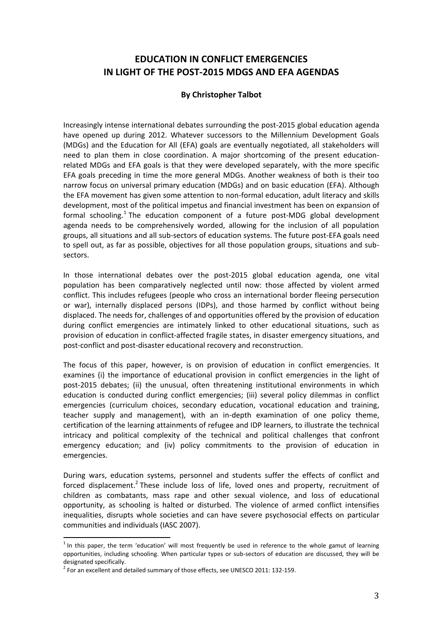# **EDUCATION IN CONFLICT EMERGENCIES IN LIGHT OF THE POST-2015 MDGS AND EFA AGENDAS**

# **By Christopher Talbot**

Increasingly intense international debates surrounding the post-2015 global education agenda have opened up during 2012. Whatever successors to the Millennium Development Goals (MDGs) and the Education for All (EFA) goals are eventually negotiated, all stakeholders will need to plan them in close coordination. A major shortcoming of the present educationrelated MDGs and EFA goals is that they were developed separately, with the more specific EFA goals preceding in time the more general MDGs. Another weakness of both is their too narrow focus on universal primary education (MDGs) and on basic education (EFA). Although the EFA movement has given some attention to non-formal education, adult literacy and skills development, most of the political impetus and financial investment has been on expansion of formal schooling.<sup>1</sup> The education component of a future post-MDG global development agenda needs to be comprehensively worded, allowing for the inclusion of all population groups, all situations and all sub-sectors of education systems. The future post-EFA goals need to spell out, as far as possible, objectives for all those population groups, situations and subsectors.

In those international debates over the post-2015 global education agenda, one vital population has been comparatively neglected until now: those affected by violent armed conflict. This includes refugees (people who cross an international border fleeing persecution or war), internally displaced persons (IDPs), and those harmed by conflict without being displaced. The needs for, challenges of and opportunities offered by the provision of education during conflict emergencies are intimately linked to other educational situations, such as provision of education in conflict-affected fragile states, in disaster emergency situations, and post-conflict and post-disaster educational recovery and reconstruction.

The focus of this paper, however, is on provision of education in conflict emergencies. It examines (i) the importance of educational provision in conflict emergencies in the light of post-2015 debates; (ii) the unusual, often threatening institutional environments in which education is conducted during conflict emergencies; (iii) several policy dilemmas in conflict emergencies (curriculum choices, secondary education, vocational education and training, teacher supply and management), with an in-depth examination of one policy theme, certification of the learning attainments of refugee and IDP learners, to illustrate the technical intricacy and political complexity of the technical and political challenges that confront emergency education; and (iv) policy commitments to the provision of education in emergencies.

During wars, education systems, personnel and students suffer the effects of conflict and forced displacement.<sup>2</sup> These include loss of life, loved ones and property, recruitment of children as combatants, mass rape and other sexual violence, and loss of educational opportunity, as schooling is halted or disturbed. The violence of armed conflict intensifies inequalities, disrupts whole societies and can have severe psychosocial effects on particular communities and individuals (IASC 2007).

l

 $<sup>1</sup>$  In this paper, the term 'education' will most frequently be used in reference to the whole gamut of learning</sup> opportunities, including schooling. When particular types or sub-sectors of education are discussed, they will be designated specifically.

 $^2$  For an excellent and detailed summary of those effects, see UNESCO 2011: 132-159.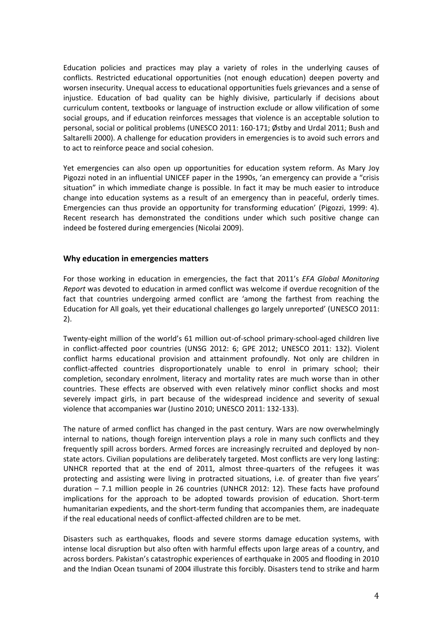Education policies and practices may play a variety of roles in the underlying causes of conflicts. Restricted educational opportunities (not enough education) deepen poverty and worsen insecurity. Unequal access to educational opportunities fuels grievances and a sense of injustice. Education of bad quality can be highly divisive, particularly if decisions about curriculum content, textbooks or language of instruction exclude or allow vilification of some social groups, and if education reinforces messages that violence is an acceptable solution to personal, social or political problems (UNESCO 2011: 160-171; Østby and Urdal 2011; Bush and Saltarelli 2000). A challenge for education providers in emergencies is to avoid such errors and to act to reinforce peace and social cohesion.

Yet emergencies can also open up opportunities for education system reform. As Mary Joy Pigozzi noted in an influential UNICEF paper in the 1990s, 'an emergency can provide a "crisis situation" in which immediate change is possible. In fact it may be much easier to introduce change into education systems as a result of an emergency than in peaceful, orderly times. Emergencies can thus provide an opportunity for transforming education' (Pigozzi, 1999: 4). Recent research has demonstrated the conditions under which such positive change can indeed be fostered during emergencies (Nicolai 2009).

## **Why education in emergencies matters**

For those working in education in emergencies, the fact that 2011's *EFA Global Monitoring Report* was devoted to education in armed conflict was welcome if overdue recognition of the fact that countries undergoing armed conflict are 'among the farthest from reaching the Education for All goals, yet their educational challenges go largely unreported' (UNESCO 2011: 2).

Twenty-eight million of the world's 61 million out-of-school primary-school-aged children live in conflict-affected poor countries (UNSG 2012: 6; GPE 2012; UNESCO 2011: 132). Violent conflict harms educational provision and attainment profoundly. Not only are children in conflict-affected countries disproportionately unable to enrol in primary school; their completion, secondary enrolment, literacy and mortality rates are much worse than in other countries. These effects are observed with even relatively minor conflict shocks and most severely impact girls, in part because of the widespread incidence and severity of sexual violence that accompanies war (Justino 2010; UNESCO 2011: 132-133).

The nature of armed conflict has changed in the past century. Wars are now overwhelmingly internal to nations, though foreign intervention plays a role in many such conflicts and they frequently spill across borders. Armed forces are increasingly recruited and deployed by nonstate actors. Civilian populations are deliberately targeted. Most conflicts are very long lasting: UNHCR reported that at the end of 2011, almost three-quarters of the refugees it was protecting and assisting were living in protracted situations, i.e. of greater than five years' duration – 7.1 million people in 26 countries (UNHCR 2012: 12). These facts have profound implications for the approach to be adopted towards provision of education. Short-term humanitarian expedients, and the short-term funding that accompanies them, are inadequate if the real educational needs of conflict-affected children are to be met.

Disasters such as earthquakes, floods and severe storms damage education systems, with intense local disruption but also often with harmful effects upon large areas of a country, and across borders. Pakistan's catastrophic experiences of earthquake in 2005 and flooding in 2010 and the Indian Ocean tsunami of 2004 illustrate this forcibly. Disasters tend to strike and harm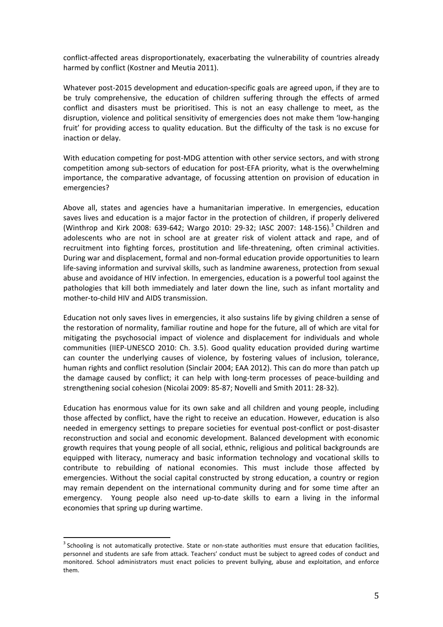conflict-affected areas disproportionately, exacerbating the vulnerability of countries already harmed by conflict (Kostner and Meutia 2011).

Whatever post-2015 development and education-specific goals are agreed upon, if they are to be truly comprehensive, the education of children suffering through the effects of armed conflict and disasters must be prioritised. This is not an easy challenge to meet, as the disruption, violence and political sensitivity of emergencies does not make them 'low-hanging fruit' for providing access to quality education. But the difficulty of the task is no excuse for inaction or delay.

With education competing for post-MDG attention with other service sectors, and with strong competition among sub-sectors of education for post-EFA priority, what is the overwhelming importance, the comparative advantage, of focussing attention on provision of education in emergencies?

Above all, states and agencies have a humanitarian imperative. In emergencies, education saves lives and education is a major factor in the protection of children, if properly delivered (Winthrop and Kirk 2008: 639-642; Wargo 2010: 29-32; IASC 2007: 148-156).<sup>3</sup> Children and adolescents who are not in school are at greater risk of violent attack and rape, and of recruitment into fighting forces, prostitution and life-threatening, often criminal activities. During war and displacement, formal and non-formal education provide opportunities to learn life-saving information and survival skills, such as landmine awareness, protection from sexual abuse and avoidance of HIV infection. In emergencies, education is a powerful tool against the pathologies that kill both immediately and later down the line, such as infant mortality and mother-to-child HIV and AIDS transmission.

Education not only saves lives in emergencies, it also sustains life by giving children a sense of the restoration of normality, familiar routine and hope for the future, all of which are vital for mitigating the psychosocial impact of violence and displacement for individuals and whole communities (IIEP-UNESCO 2010: Ch. 3.5). Good quality education provided during wartime can counter the underlying causes of violence, by fostering values of inclusion, tolerance, human rights and conflict resolution (Sinclair 2004; EAA 2012). This can do more than patch up the damage caused by conflict; it can help with long-term processes of peace-building and strengthening social cohesion (Nicolai 2009: 85-87; Novelli and Smith 2011: 28-32).

Education has enormous value for its own sake and all children and young people, including those affected by conflict, have the right to receive an education. However, education is also needed in emergency settings to prepare societies for eventual post-conflict or post-disaster reconstruction and social and economic development. Balanced development with economic growth requires that young people of all social, ethnic, religious and political backgrounds are equipped with literacy, numeracy and basic information technology and vocational skills to contribute to rebuilding of national economies. This must include those affected by emergencies. Without the social capital constructed by strong education, a country or region may remain dependent on the international community during and for some time after an emergency. Young people also need up-to-date skills to earn a living in the informal economies that spring up during wartime.

l

 $3$  Schooling is not automatically protective. State or non-state authorities must ensure that education facilities, personnel and students are safe from attack. Teachers' conduct must be subject to agreed codes of conduct and monitored. School administrators must enact policies to prevent bullying, abuse and exploitation, and enforce them.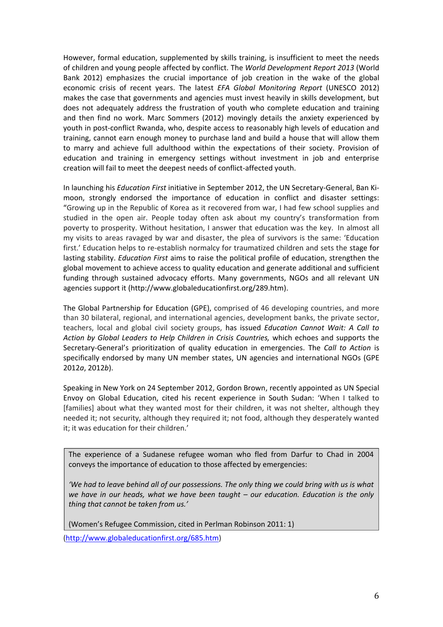However, formal education, supplemented by skills training, is insufficient to meet the needs of children and young people affected by conflict. The *World Development Report 2013* (World Bank 2012) emphasizes the crucial importance of job creation in the wake of the global economic crisis of recent years. The latest *EFA Global Monitoring Report* (UNESCO 2012) makes the case that governments and agencies must invest heavily in skills development, but does not adequately address the frustration of youth who complete education and training and then find no work. Marc Sommers (2012) movingly details the anxiety experienced by youth in post-conflict Rwanda, who, despite access to reasonably high levels of education and training, cannot earn enough money to purchase land and build a house that will allow them to marry and achieve full adulthood within the expectations of their society. Provision of education and training in emergency settings without investment in job and enterprise creation will fail to meet the deepest needs of conflict-affected youth.

In launching his *Education First* initiative in September 2012, the UN Secretary-General, Ban Kimoon, strongly endorsed the importance of education in conflict and disaster settings: "Growing up in the Republic of Korea as it recovered from war, I had few school supplies and studied in the open air. People today often ask about my country's transformation from poverty to prosperity. Without hesitation, I answer that education was the key. In almost all my visits to areas ravaged by war and disaster, the plea of survivors is the same: 'Education first.' Education helps to re-establish normalcy for traumatized children and sets the stage for lasting stability. *[Education First](http://ineesite.us5.list-manage.com/track/click?u=fef0506b371181f31cc3ba467&id=7cd366e509&e=7a5f1b3ec4)* aims to raise the political profile of education, strengthen the global movement to achieve access to quality education and generate additional and sufficient funding through sustained advocacy efforts. Many governments, NGOs and all relevant UN agencies support it [\(http://www.globaleducationfirst.org/289.htm\)](http://www.globaleducationfirst.org/289.htm).

The Global Partnership for Education (GPE), comprised of 46 developing countries, and more than 30 bilateral, regional, and international agencies, development banks, the private sector, teachers, local and global civil society groups, has issued *Education Cannot Wait: A Call to Action by Global Leaders to Help Children in Crisis Countries,* which echoes and supports the Secretary-General's prioritization of quality education in emergencies. The *Call to Action* is specifically endorsed by many UN member states, UN agencies and international NGOs (GPE 2012*a*, 2012*b*).

Speaking in New York on 24 September 2012, Gordon Brown, recently appointed as UN Special Envoy on Global Education, cited his recent experience in South Sudan: 'When I talked to [families] about what they wanted most for their children, it was not shelter, although they needed it; not security, although they required it; not food, although they desperately wanted it; it was education for their children.'

The experience of a Sudanese refugee woman who fled from Darfur to Chad in 2004 conveys the importance of education to those affected by emergencies:

*'We had to leave behind all of our possessions. The only thing we could bring with us is what we have in our heads, what we have been taught – our education. Education is the only thing that cannot be taken from us.'* 

(Women's Refugee Commission, cited in Perlman Robinson 2011: 1)

[\(http://www.globaleducationfirst.org/685.htm\)](http://www.globaleducationfirst.org/685.htm)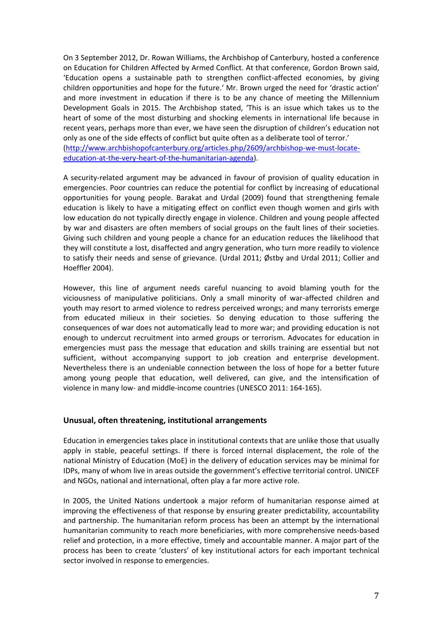On 3 September 2012, Dr. Rowan Williams, the Archbishop of Canterbury, hosted a conference on Education for Children Affected by Armed Conflict. At that conference, Gordon Brown said, 'Education opens a sustainable path to strengthen conflict-affected economies, by giving children opportunities and hope for the future.' Mr. Brown urged the need for 'drastic action' and more investment in education if there is to be any chance of meeting the Millennium Development Goals in 2015. The Archbishop stated, 'This is an issue which takes us to the heart of some of the most disturbing and shocking elements in international life because in recent years, perhaps more than ever, we have seen the disruption of children's education not only as one of the side effects of conflict but quite often as a deliberate tool of terror.' [\(http://www.archbishopofcanterbury.org/articles.php/2609/archbishop-we-must-locate](http://www.archbishopofcanterbury.org/articles.php/2609/archbishop-we-must-locate-education-at-the-very-heart-of-the-humanitarian-agenda)[education-at-the-very-heart-of-the-humanitarian-agenda\)](http://www.archbishopofcanterbury.org/articles.php/2609/archbishop-we-must-locate-education-at-the-very-heart-of-the-humanitarian-agenda).

A security-related argument may be advanced in favour of provision of quality education in emergencies. Poor countries can reduce the potential for conflict by increasing of educational opportunities for young people. Barakat and Urdal (2009) found that strengthening female education is likely to have a mitigating effect on conflict even though women and girls with low education do not typically directly engage in violence. Children and young people affected by war and disasters are often members of social groups on the fault lines of their societies. Giving such children and young people a chance for an education reduces the likelihood that they will constitute a lost, disaffected and angry generation, who turn more readily to violence to satisfy their needs and sense of grievance. (Urdal 2011; Østby and Urdal 2011; Collier and Hoeffler 2004).

However, this line of argument needs careful nuancing to avoid blaming youth for the viciousness of manipulative politicians. Only a small minority of war-affected children and youth may resort to armed violence to redress perceived wrongs; and many terrorists emerge from educated milieux in their societies. So denying education to those suffering the consequences of war does not automatically lead to more war; and providing education is not enough to undercut recruitment into armed groups or terrorism. Advocates for education in emergencies must pass the message that education and skills training are essential but not sufficient, without accompanying support to job creation and enterprise development. Nevertheless there is an undeniable connection between the loss of hope for a better future among young people that education, well delivered, can give, and the intensification of violence in many low- and middle-income countries (UNESCO 2011: 164-165).

# **Unusual, often threatening, institutional arrangements**

Education in emergencies takes place in institutional contexts that are unlike those that usually apply in stable, peaceful settings. If there is forced internal displacement, the role of the national Ministry of Education (MoE) in the delivery of education services may be minimal for IDPs, many of whom live in areas outside the government's effective territorial control. UNICEF and NGOs, national and international, often play a far more active role.

In 2005, the United Nations undertook a major reform of humanitarian response aimed at improving the effectiveness of that response by ensuring greater predictability, accountability and partnership. The humanitarian reform process has been an attempt by the international humanitarian community to reach more beneficiaries, with more comprehensive needs-based relief and protection, in a more effective, timely and accountable manner. A major part of the process has been to create 'clusters' of key institutional actors for each important technical sector involved in response to emergencies.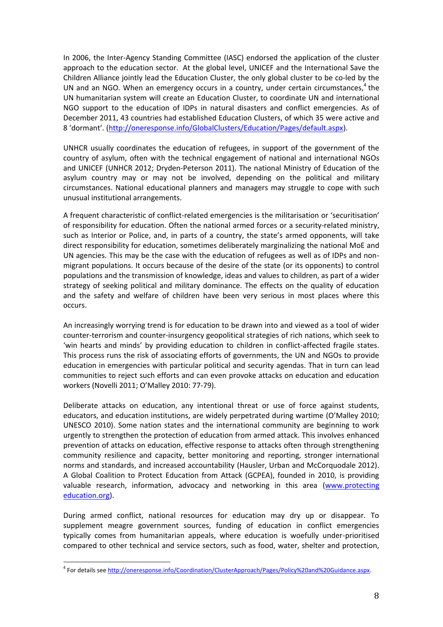In 2006, the Inter-Agency Standing Committee (IASC) endorsed the application of the cluster approach to the education sector. At the global level, UNICEF and the International Save the Children Alliance jointly lead the Education Cluster, the only global cluster to be co-led by the UN and an NGO. When an emergency occurs in a country, under certain circumstances,<sup>4</sup> the UN humanitarian system will create an Education Cluster, to coordinate UN and international NGO support to the education of IDPs in natural disasters and conflict emergencies. As of December 2011, 43 countries had established Education Clusters, of which 35 were active and 8 'dormant'. [\(http://oneresponse.info/GlobalClusters/Education/Pages/default.aspx\)](http://oneresponse.info/GlobalClusters/Education/Pages/default.aspx).

UNHCR usually coordinates the education of refugees, in support of the government of the country of asylum, often with the technical engagement of national and international NGOs and UNICEF (UNHCR 2012; Dryden-Peterson 2011). The national Ministry of Education of the asylum country may or may not be involved, depending on the political and military circumstances. National educational planners and managers may struggle to cope with such unusual institutional arrangements.

A frequent characteristic of conflict-related emergencies is the militarisation or 'securitisation' of responsibility for education. Often the national armed forces or a security-related ministry, such as Interior or Police, and, in parts of a country, the state's armed opponents, will take direct responsibility for education, sometimes deliberately marginalizing the national MoE and UN agencies. This may be the case with the education of refugees as well as of IDPs and nonmigrant populations. It occurs because of the desire of the state (or its opponents) to control populations and the transmission of knowledge, ideas and values to children, as part of a wider strategy of seeking political and military dominance. The effects on the quality of education and the safety and welfare of children have been very serious in most places where this occurs.

An increasingly worrying trend is for education to be drawn into and viewed as a tool of wider counter-terrorism and counter-insurgency geopolitical strategies of rich nations, which seek to 'win hearts and minds' by providing education to children in conflict-affected fragile states. This process runs the risk of associating efforts of governments, the UN and NGOs to provide education in emergencies with particular political and security agendas. That in turn can lead communities to reject such efforts and can even provoke attacks on education and education workers (Novelli 2011; O'Malley 2010: 77-79).

Deliberate attacks on education, any intentional threat or use of force against students, educators, and education institutions, are widely perpetrated during wartime (O'Malley 2010; UNESCO 2010). Some nation states and the international community are beginning to work urgently to strengthen the protection of education from armed attack. This involves enhanced prevention of attacks on education, effective response to attacks often through strengthening community resilience and capacity, better monitoring and reporting, stronger international norms and standards, and increased accountability (Hausler, Urban and McCorquodale 2012). A Global Coalition to Protect Education from Attack (GCPEA), founded in 2010, is providing valuable research, information, advocacy and networking in this area [\(www.protecting](http://www.protecting/) education.org).

During armed conflict, national resources for education may dry up or disappear. To supplement meagre government sources, funding of education in conflict emergencies typically comes from humanitarian appeals, where education is woefully under-prioritised compared to other technical and service sectors, such as food, water, shelter and protection,

 4 For details see [http://oneresponse.info/Coordination/ClusterApproach/Pages/Policy%20and%20Guidance.aspx.](http://oneresponse.info/Coordination/ClusterApproach/Pages/Policy%20and%20Guidance.aspx)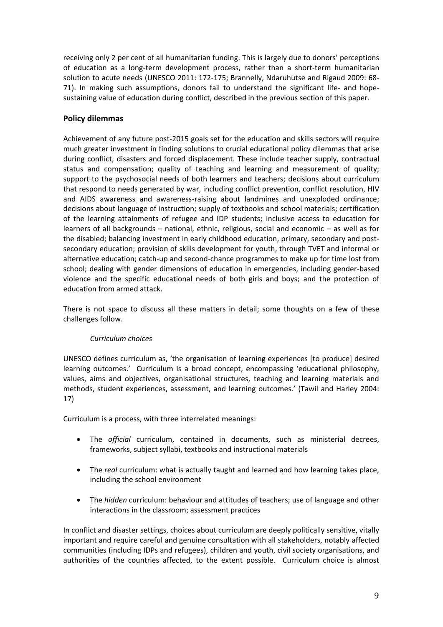receiving only 2 per cent of all humanitarian funding. This is largely due to donors' perceptions of education as a long-term development process, rather than a short-term humanitarian solution to acute needs (UNESCO 2011: 172-175; Brannelly, Ndaruhutse and Rigaud 2009: 68- 71). In making such assumptions, donors fail to understand the significant life- and hopesustaining value of education during conflict, described in the previous section of this paper.

# **Policy dilemmas**

Achievement of any future post-2015 goals set for the education and skills sectors will require much greater investment in finding solutions to crucial educational policy dilemmas that arise during conflict, disasters and forced displacement. These include teacher supply, contractual status and compensation; quality of teaching and learning and measurement of quality; support to the psychosocial needs of both learners and teachers; decisions about curriculum that respond to needs generated by war, including conflict prevention, conflict resolution, HIV and AIDS awareness and awareness-raising about landmines and unexploded ordinance; decisions about language of instruction; supply of textbooks and school materials; certification of the learning attainments of refugee and IDP students; inclusive access to education for learners of all backgrounds – national, ethnic, religious, social and economic – as well as for the disabled; balancing investment in early childhood education, primary, secondary and postsecondary education; provision of skills development for youth, through TVET and informal or alternative education; catch-up and second-chance programmes to make up for time lost from school; dealing with gender dimensions of education in emergencies, including gender-based violence and the specific educational needs of both girls and boys; and the protection of education from armed attack.

There is not space to discuss all these matters in detail; some thoughts on a few of these challenges follow.

# *Curriculum choices*

UNESCO defines curriculum as, 'the organisation of learning experiences [to produce] desired learning outcomes.' Curriculum is a broad concept, encompassing 'educational philosophy, values, aims and objectives, organisational structures, teaching and learning materials and methods, student experiences, assessment, and learning outcomes.' (Tawil and Harley 2004: 17)

Curriculum is a process, with three interrelated meanings:

- The *official* curriculum, contained in documents, such as ministerial decrees, frameworks, subject syllabi, textbooks and instructional materials
- The *real* curriculum: what is actually taught and learned and how learning takes place, including the school environment
- The *hidden* curriculum: behaviour and attitudes of teachers; use of language and other interactions in the classroom; assessment practices

In conflict and disaster settings, choices about curriculum are deeply politically sensitive, vitally important and require careful and genuine consultation with all stakeholders, notably affected communities (including IDPs and refugees), children and youth, civil society organisations, and authorities of the countries affected, to the extent possible. Curriculum choice is almost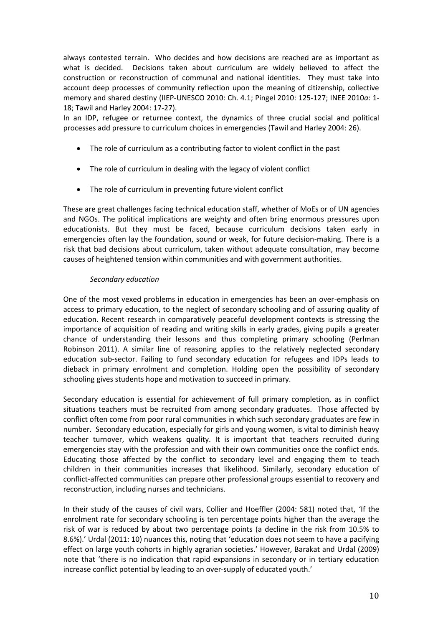always contested terrain. Who decides and how decisions are reached are as important as what is decided. Decisions taken about curriculum are widely believed to affect the construction or reconstruction of communal and national identities. They must take into account deep processes of community reflection upon the meaning of citizenship, collective memory and shared destiny (IIEP-UNESCO 2010: Ch. 4.1; Pingel 2010: 125-127; INEE 2010*a*: 1- 18; Tawil and Harley 2004: 17-27).

In an IDP, refugee or returnee context, the dynamics of three crucial social and political processes add pressure to curriculum choices in emergencies (Tawil and Harley 2004: 26).

- The role of curriculum as a contributing factor to violent conflict in the past
- The role of curriculum in dealing with the legacy of violent conflict
- The role of curriculum in preventing future violent conflict

These are great challenges facing technical education staff, whether of MoEs or of UN agencies and NGOs. The political implications are weighty and often bring enormous pressures upon educationists. But they must be faced, because curriculum decisions taken early in emergencies often lay the foundation, sound or weak, for future decision-making. There is a risk that bad decisions about curriculum, taken without adequate consultation, may become causes of heightened tension within communities and with government authorities.

# *Secondary education*

One of the most vexed problems in education in emergencies has been an over-emphasis on access to primary education, to the neglect of secondary schooling and of assuring quality of education. Recent research in comparatively peaceful development contexts is stressing the importance of acquisition of reading and writing skills in early grades, giving pupils a greater chance of understanding their lessons and thus completing primary schooling (Perlman Robinson 2011). A similar line of reasoning applies to the relatively neglected secondary education sub-sector. Failing to fund secondary education for refugees and IDPs leads to dieback in primary enrolment and completion. Holding open the possibility of secondary schooling gives students hope and motivation to succeed in primary.

Secondary education is essential for achievement of full primary completion, as in conflict situations teachers must be recruited from among secondary graduates. Those affected by conflict often come from poor rural communities in which such secondary graduates are few in number. Secondary education, especially for girls and young women, is vital to diminish heavy teacher turnover, which weakens quality. It is important that teachers recruited during emergencies stay with the profession and with their own communities once the conflict ends. Educating those affected by the conflict to secondary level and engaging them to teach children in their communities increases that likelihood. Similarly, secondary education of conflict-affected communities can prepare other professional groups essential to recovery and reconstruction, including nurses and technicians.

In their study of the causes of civil wars, Collier and Hoeffler (2004: 581) noted that, 'If the enrolment rate for secondary schooling is ten percentage points higher than the average the risk of war is reduced by about two percentage points (a decline in the risk from 10.5% to 8.6%).' Urdal (2011: 10) nuances this, noting that 'education does not seem to have a pacifying effect on large youth cohorts in highly agrarian societies.' However, Barakat and Urdal (2009) note that 'there is no indication that rapid expansions in secondary or in tertiary education increase conflict potential by leading to an over-supply of educated youth.'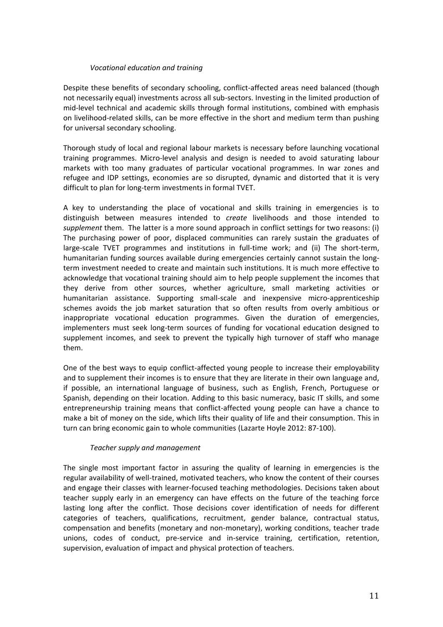## *Vocational education and training*

Despite these benefits of secondary schooling, conflict-affected areas need balanced (though not necessarily equal) investments across all sub-sectors. Investing in the limited production of mid-level technical and academic skills through formal institutions, combined with emphasis on livelihood-related skills, can be more effective in the short and medium term than pushing for universal secondary schooling.

Thorough study of local and regional labour markets is necessary before launching vocational training programmes. Micro-level analysis and design is needed to avoid saturating labour markets with too many graduates of particular vocational programmes. In war zones and refugee and IDP settings, economies are so disrupted, dynamic and distorted that it is very difficult to plan for long-term investments in formal TVET.

A key to understanding the place of vocational and skills training in emergencies is to distinguish between measures intended to *create* livelihoods and those intended to *supplement* them. The latter is a more sound approach in conflict settings for two reasons: (i) The purchasing power of poor, displaced communities can rarely sustain the graduates of large-scale TVET programmes and institutions in full-time work; and (ii) The short-term, humanitarian funding sources available during emergencies certainly cannot sustain the longterm investment needed to create and maintain such institutions. It is much more effective to acknowledge that vocational training should aim to help people supplement the incomes that they derive from other sources, whether agriculture, small marketing activities or humanitarian assistance. Supporting small-scale and inexpensive micro-apprenticeship schemes avoids the job market saturation that so often results from overly ambitious or inappropriate vocational education programmes. Given the duration of emergencies, implementers must seek long-term sources of funding for vocational education designed to supplement incomes, and seek to prevent the typically high turnover of staff who manage them.

One of the best ways to equip conflict-affected young people to increase their employability and to supplement their incomes is to ensure that they are literate in their own language and, if possible, an international language of business, such as English, French, Portuguese or Spanish, depending on their location. Adding to this basic numeracy, basic IT skills, and some entrepreneurship training means that conflict-affected young people can have a chance to make a bit of money on the side, which lifts their quality of life and their consumption. This in turn can bring economic gain to whole communities (Lazarte Hoyle 2012: 87-100).

# *Teacher supply and management*

The single most important factor in assuring the quality of learning in emergencies is the regular availability of well-trained, motivated teachers, who know the content of their courses and engage their classes with learner-focused teaching methodologies. Decisions taken about teacher supply early in an emergency can have effects on the future of the teaching force lasting long after the conflict. Those decisions cover identification of needs for different categories of teachers, qualifications, recruitment, gender balance, contractual status, compensation and benefits (monetary and non-monetary), working conditions, teacher trade unions, codes of conduct, pre-service and in-service training, certification, retention, supervision, evaluation of impact and physical protection of teachers.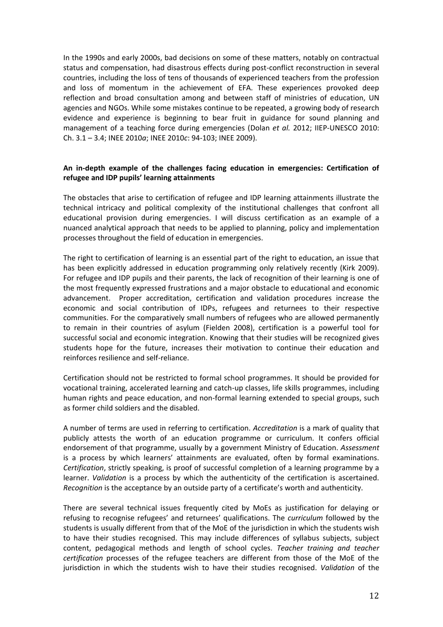In the 1990s and early 2000s, bad decisions on some of these matters, notably on contractual status and compensation, had disastrous effects during post-conflict reconstruction in several countries, including the loss of tens of thousands of experienced teachers from the profession and loss of momentum in the achievement of EFA. These experiences provoked deep reflection and broad consultation among and between staff of ministries of education, UN agencies and NGOs. While some mistakes continue to be repeated, a growing body of research evidence and experience is beginning to bear fruit in guidance for sound planning and management of a teaching force during emergencies (Dolan *et al.* 2012; IIEP-UNESCO 2010: Ch. 3.1 – 3.4; INEE 2010*a*; INEE 2010*c*: 94-103; INEE 2009).

## **An in-depth example of the challenges facing education in emergencies: Certification of refugee and IDP pupils' learning attainments**

The obstacles that arise to certification of refugee and IDP learning attainments illustrate the technical intricacy and political complexity of the institutional challenges that confront all educational provision during emergencies. I will discuss certification as an example of a nuanced analytical approach that needs to be applied to planning, policy and implementation processes throughout the field of education in emergencies.

The right to certification of learning is an essential part of the right to education, an issue that has been explicitly addressed in education programming only relatively recently (Kirk 2009). For refugee and IDP pupils and their parents, the lack of recognition of their learning is one of the most frequently expressed frustrations and a major obstacle to educational and economic advancement. Proper accreditation, certification and validation procedures increase the economic and social contribution of IDPs, refugees and returnees to their respective communities. For the comparatively small numbers of refugees who are allowed permanently to remain in their countries of asylum (Fielden 2008), certification is a powerful tool for successful social and economic integration. Knowing that their studies will be recognized gives students hope for the future, increases their motivation to continue their education and reinforces resilience and self-reliance.

Certification should not be restricted to formal school programmes. It should be provided for vocational training, accelerated learning and catch-up classes, life skills programmes, including human rights and peace education, and non-formal learning extended to special groups, such as former child soldiers and the disabled.

A number of terms are used in referring to certification. *Accreditation* is a mark of quality that publicly attests the worth of an education programme or curriculum. It confers official endorsement of that programme, usually by a government Ministry of Education. *Assessment* is a process by which learners' attainments are evaluated, often by formal examinations. *Certification*, strictly speaking, is proof of successful completion of a learning programme by a learner. *Validation* is a process by which the authenticity of the certification is ascertained. *Recognition* is the acceptance by an outside party of a certificate's worth and authenticity.

There are several technical issues frequently cited by MoEs as justification for delaying or refusing to recognise refugees' and returnees' qualifications. The *curriculum* followed by the students is usually different from that of the MoE of the jurisdiction in which the students wish to have their studies recognised. This may include differences of syllabus subjects, subject content, pedagogical methods and length of school cycles. *Teacher training and teacher certification* processes of the refugee teachers are different from those of the MoE of the jurisdiction in which the students wish to have their studies recognised. *Validation* of the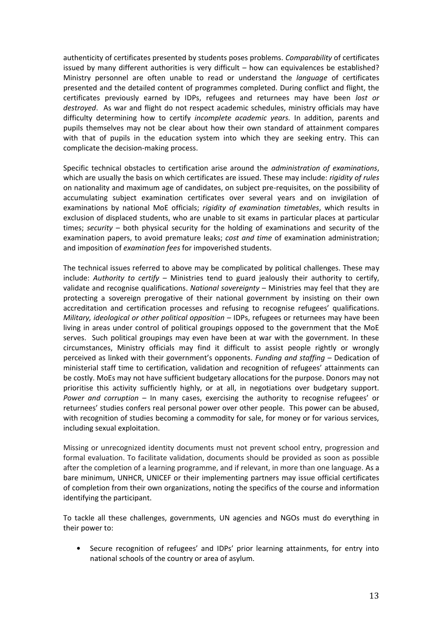authenticity of certificates presented by students poses problems. *Comparability* of certificates issued by many different authorities is very difficult – how can equivalences be established? Ministry personnel are often unable to read or understand the *language* of certificates presented and the detailed content of programmes completed. During conflict and flight, the certificates previously earned by IDPs, refugees and returnees may have been *lost or destroyed*. As war and flight do not respect academic schedules, ministry officials may have difficulty determining how to certify *incomplete academic years.* In addition, parents and pupils themselves may not be clear about how their own standard of attainment compares with that of pupils in the education system into which they are seeking entry. This can complicate the decision-making process.

Specific technical obstacles to certification arise around the *administration of examinations*, which are usually the basis on which certificates are issued. These may include: *rigidity of rules* on nationality and maximum age of candidates, on subject pre-requisites, on the possibility of accumulating subject examination certificates over several years and on invigilation of examinations by national MoE officials; *rigidity of examination timetables*, which results in exclusion of displaced students, who are unable to sit exams in particular places at particular times; *security* – both physical security for the holding of examinations and security of the examination papers, to avoid premature leaks; *cost and time* of examination administration; and imposition of *examination fees* for impoverished students.

The technical issues referred to above may be complicated by political challenges. These may include: *Authority to certify* – Ministries tend to guard jealously their authority to certify, validate and recognise qualifications. *National sovereignty* – Ministries may feel that they are protecting a sovereign prerogative of their national government by insisting on their own accreditation and certification processes and refusing to recognise refugees' qualifications. *Military, ideological or other political opposition* – IDPs, refugees or returnees may have been living in areas under control of political groupings opposed to the government that the MoE serves. Such political groupings may even have been at war with the government. In these circumstances, Ministry officials may find it difficult to assist people rightly or wrongly perceived as linked with their government's opponents. *Funding and staffing* – Dedication of ministerial staff time to certification, validation and recognition of refugees' attainments can be costly. MoEs may not have sufficient budgetary allocations for the purpose. Donors may not prioritise this activity sufficiently highly, or at all, in negotiations over budgetary support. *Power and corruption* – In many cases, exercising the authority to recognise refugees' or returnees' studies confers real personal power over other people. This power can be abused, with recognition of studies becoming a commodity for sale, for money or for various services, including sexual exploitation.

Missing or unrecognized identity documents must not prevent school entry, progression and formal evaluation. To facilitate validation, documents should be provided as soon as possible after the completion of a learning programme, and if relevant, in more than one language. As a bare minimum, UNHCR, UNICEF or their implementing partners may issue official certificates of completion from their own organizations, noting the specifics of the course and information identifying the participant.

To tackle all these challenges, governments, UN agencies and NGOs must do everything in their power to:

Secure recognition of refugees' and IDPs' prior learning attainments, for entry into national schools of the country or area of asylum.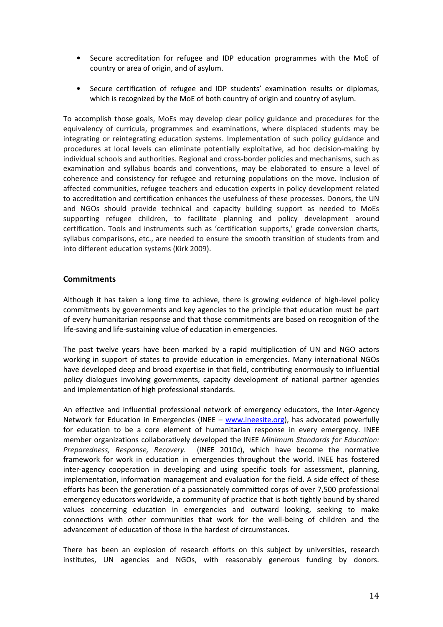- Secure accreditation for refugee and IDP education programmes with the MoE of country or area of origin, and of asylum.
- Secure certification of refugee and IDP students' examination results or diplomas, which is recognized by the MoE of both country of origin and country of asylum.

To accomplish those goals, MoEs may develop clear policy guidance and procedures for the equivalency of curricula, programmes and examinations, where displaced students may be integrating or reintegrating education systems. Implementation of such policy guidance and procedures at local levels can eliminate potentially exploitative, ad hoc decision-making by individual schools and authorities. Regional and cross-border policies and mechanisms, such as examination and syllabus boards and conventions, may be elaborated to ensure a level of coherence and consistency for refugee and returning populations on the move. Inclusion of affected communities, refugee teachers and education experts in policy development related to accreditation and certification enhances the usefulness of these processes. Donors, the UN and NGOs should provide technical and capacity building support as needed to MoEs supporting refugee children, to facilitate planning and policy development around certification. Tools and instruments such as 'certification supports,' grade conversion charts, syllabus comparisons, etc., are needed to ensure the smooth transition of students from and into different education systems (Kirk 2009).

# **Commitments**

Although it has taken a long time to achieve, there is growing evidence of high-level policy commitments by governments and key agencies to the principle that education must be part of every humanitarian response and that those commitments are based on recognition of the life-saving and life-sustaining value of education in emergencies.

The past twelve years have been marked by a rapid multiplication of UN and NGO actors working in support of states to provide education in emergencies. Many international NGOs have developed deep and broad expertise in that field, contributing enormously to influential policy dialogues involving governments, capacity development of national partner agencies and implementation of high professional standards.

An effective and influential professional network of emergency educators, the Inter-Agency Network for Education in Emergencies (INEE – [www.ineesite.org\)](http://www.ineesite.org/), has advocated powerfully for education to be a core element of humanitarian response in every emergency. INEE member organizations collaboratively developed the INEE *Minimum Standards for Education: Preparedness, Response, Recovery.* (INEE 2010*c*), which have become the normative framework for work in education in emergencies throughout the world. INEE has fostered inter-agency cooperation in developing and using specific tools for assessment, planning, implementation, information management and evaluation for the field. A side effect of these efforts has been the generation of a passionately committed corps of over 7,500 professional emergency educators worldwide, a community of practice that is both tightly bound by shared values concerning education in emergencies and outward looking, seeking to make connections with other communities that work for the well-being of children and the advancement of education of those in the hardest of circumstances.

There has been an explosion of research efforts on this subject by universities, research institutes, UN agencies and NGOs, with reasonably generous funding by donors.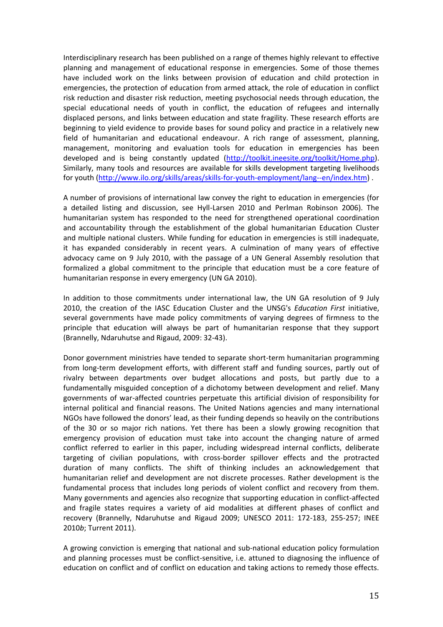Interdisciplinary research has been published on a range of themes highly relevant to effective planning and management of educational response in emergencies. Some of those themes have included work on the links between provision of education and child protection in emergencies, the protection of education from armed attack, the role of education in conflict risk reduction and disaster risk reduction, meeting psychosocial needs through education, the special educational needs of youth in conflict, the education of refugees and internally displaced persons, and links between education and state fragility. These research efforts are beginning to yield evidence to provide bases for sound policy and practice in a relatively new field of humanitarian and educational endeavour. A rich range of assessment, planning, management, monitoring and evaluation tools for education in emergencies has been developed and is being constantly updated [\(http://toolkit.ineesite.org/toolkit/Home.php\)](http://toolkit.ineesite.org/toolkit/Home.php). Similarly, many tools and resources are available for skills development targeting livelihoods for youth [\(http://www.ilo.org/skills/areas/skills-for-youth-employment/lang--en/index.htm\)](http://www.ilo.org/skills/areas/skills-for-youth-employment/lang--en/index.htm) .

A number of provisions of international law convey the right to education in emergencies (for a detailed listing and discussion, see Hyll-Larsen 2010 and Perlman Robinson 2006). The humanitarian system has responded to the need for strengthened operational coordination and accountability through the establishment of the global humanitarian Education Cluster and multiple national clusters. While funding for education in emergencies is still inadequate, it has expanded considerably in recent years. A culmination of many years of effective advocacy came on 9 July 2010, with the passage of a UN General Assembly resolution that formalized a global commitment to the principle that education must be a core feature of humanitarian response in every emergency (UN GA 2010).

In addition to those commitments under international law, the UN GA resolution of 9 July 2010, the creation of the IASC Education Cluster and the UNSG's *Education First* initiative, several governments have made policy commitments of varying degrees of firmness to the principle that education will always be part of humanitarian response that they support (Brannelly, Ndaruhutse and Rigaud, 2009: 32-43).

Donor government ministries have tended to separate short-term humanitarian programming from long-term development efforts, with different staff and funding sources, partly out of rivalry between departments over budget allocations and posts, but partly due to a fundamentally misguided conception of a dichotomy between development and relief. Many governments of war-affected countries perpetuate this artificial division of responsibility for internal political and financial reasons. The United Nations agencies and many international NGOs have followed the donors' lead, as their funding depends so heavily on the contributions of the 30 or so major rich nations. Yet there has been a slowly growing recognition that emergency provision of education must take into account the changing nature of armed conflict referred to earlier in this paper, including widespread internal conflicts, deliberate targeting of civilian populations, with cross-border spillover effects and the protracted duration of many conflicts. The shift of thinking includes an acknowledgement that humanitarian relief and development are not discrete processes. Rather development is the fundamental process that includes long periods of violent conflict and recovery from them. Many governments and agencies also recognize that supporting education in conflict-affected and fragile states requires a variety of aid modalities at different phases of conflict and recovery (Brannelly, Ndaruhutse and Rigaud 2009; UNESCO 2011: 172-183, 255-257; INEE 2010*b*; Turrent 2011).

A growing conviction is emerging that national and sub-national education policy formulation and planning processes must be conflict-sensitive, i.e. attuned to diagnosing the influence of education on conflict and of conflict on education and taking actions to remedy those effects.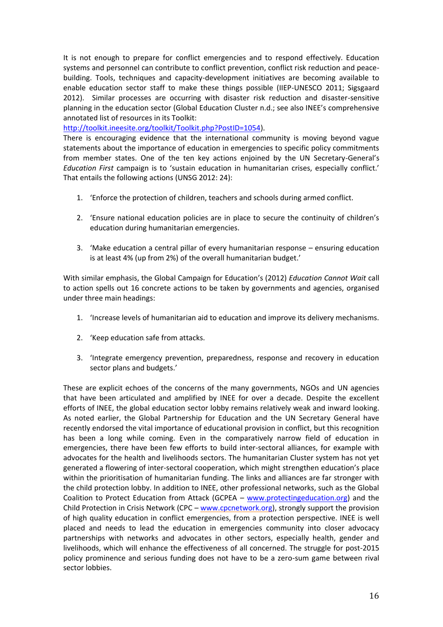It is not enough to prepare for conflict emergencies and to respond effectively. Education systems and personnel can contribute to conflict prevention, conflict risk reduction and peacebuilding. Tools, techniques and capacity-development initiatives are becoming available to enable education sector staff to make these things possible (IIEP-UNESCO 2011; Sigsgaard 2012). Similar processes are occurring with disaster risk reduction and disaster-sensitive planning in the education sector (Global Education Cluster n.d.; see also INEE's comprehensive annotated list of resources in its Toolkit:

[http://toolkit.ineesite.org/toolkit/Toolkit.php?PostID=1054\)](http://toolkit.ineesite.org/toolkit/Toolkit.php?PostID=1054).

There is encouraging evidence that the international community is moving beyond vague statements about the importance of education in emergencies to specific policy commitments from member states. One of the ten key actions enjoined by the UN Secretary-General's *Education First* campaign is to 'sustain education in humanitarian crises, especially conflict.' That entails the following actions (UNSG 2012: 24):

- 1. 'Enforce the protection of children, teachers and schools during armed conflict.
- 2. 'Ensure national education policies are in place to secure the continuity of children's education during humanitarian emergencies.
- 3. 'Make education a central pillar of every humanitarian response ensuring education is at least 4% (up from 2%) of the overall humanitarian budget.'

With similar emphasis, the Global Campaign for Education's (2012) *Education Cannot Wait* call to action spells out 16 concrete actions to be taken by governments and agencies, organised under three main headings:

- 1. 'Increase levels of humanitarian aid to education and improve its delivery mechanisms.
- 2. 'Keep education safe from attacks.
- 3. 'Integrate emergency prevention, preparedness, response and recovery in education sector plans and budgets.'

These are explicit echoes of the concerns of the many governments, NGOs and UN agencies that have been articulated and amplified by INEE for over a decade. Despite the excellent efforts of INEE, the global education sector lobby remains relatively weak and inward looking. As noted earlier, the Global Partnership for Education and the UN Secretary General have recently endorsed the vital importance of educational provision in conflict, but this recognition has been a long while coming. Even in the comparatively narrow field of education in emergencies, there have been few efforts to build inter-sectoral alliances, for example with advocates for the health and livelihoods sectors. The humanitarian Cluster system has not yet generated a flowering of inter-sectoral cooperation, which might strengthen education's place within the prioritisation of humanitarian funding. The links and alliances are far stronger with the child protection lobby. In addition to INEE, other professional networks, such as the Global Coalition to Protect Education from Attack (GCPEA – [www.protectingeducation.org\)](http://www.protectingeducation.org/) and the Child Protection in Crisis Network (CPC – [www.cpcnetwork.org\)](http://www.cpcnetwork.org/), strongly support the provision of high quality education in conflict emergencies, from a protection perspective. INEE is well placed and needs to lead the education in emergencies community into closer advocacy partnerships with networks and advocates in other sectors, especially health, gender and livelihoods, which will enhance the effectiveness of all concerned. The struggle for post-2015 policy prominence and serious funding does not have to be a zero-sum game between rival sector lobbies.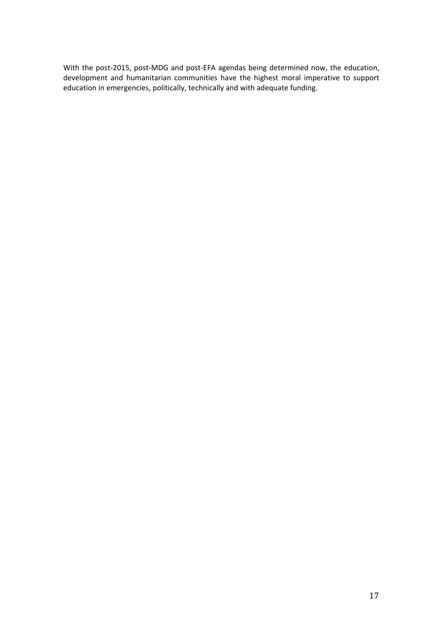With the post-2015, post-MDG and post-EFA agendas being determined now, the education, development and humanitarian communities have the highest moral imperative to support education in emergencies, politically, technically and with adequate funding.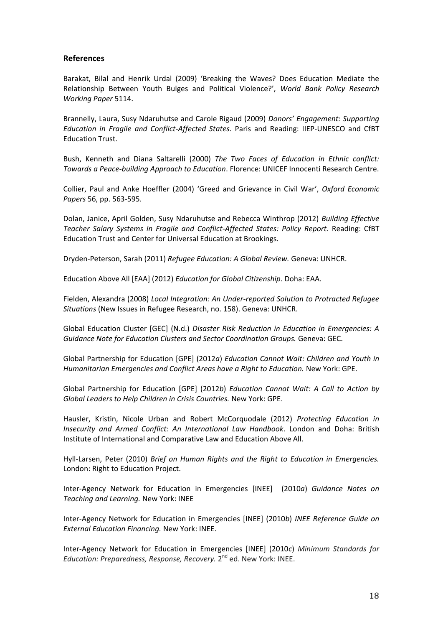## **References**

Barakat, Bilal and Henrik Urdal (2009) 'Breaking the Waves? Does Education Mediate the Relationship Between Youth Bulges and Political Violence?', *World Bank Policy Research Working Paper* 5114.

Brannelly, Laura, Susy Ndaruhutse and Carole Rigaud (2009) *Donors' Engagement: Supporting Education in Fragile and Conflict-Affected States.* Paris and Reading: IIEP-UNESCO and CfBT Education Trust.

Bush, Kenneth and Diana Saltarelli (2000) *The Two Faces of Education in Ethnic conflict: Towards a Peace-building Approach to Education*. Florence: UNICEF Innocenti Research Centre.

Collier, Paul and Anke Hoeffler (2004) 'Greed and Grievance in Civil War', *Oxford Economic Papers* 56, pp. 563-595.

Dolan, Janice, April Golden, Susy Ndaruhutse and Rebecca Winthrop (2012) *Building Effective Teacher Salary Systems in Fragile and Conflict-Affected States: Policy Report.* Reading: CfBT Education Trust and Center for Universal Education at Brookings.

Dryden-Peterson, Sarah (2011) *Refugee Education: A Global Review.* Geneva: UNHCR.

Education Above All [EAA] (2012) *Education for Global Citizenship*. Doha: EAA.

Fielden, Alexandra (2008) *Local Integration: An Under-reported Solution to Protracted Refugee Situations* (New Issues in Refugee Research, no. 158). Geneva: UNHCR.

Global Education Cluster [GEC] (N.d.) *Disaster Risk Reduction in Education in Emergencies: A Guidance Note for Education Clusters and Sector Coordination Groups.* Geneva: GEC.

Global Partnership for Education [GPE] (2012*a*) *Education Cannot Wait: Children and Youth in Humanitarian Emergencies and Conflict Areas have a Right to Education.* New York: GPE.

Global Partnership for Education [GPE] (2012*b*) *Education Cannot Wait: A Call to Action by Global Leaders to Help Children in Crisis Countries.* New York: GPE.

Hausler, Kristin, Nicole Urban and Robert McCorquodale (2012) *Protecting Education in Insecurity and Armed Conflict: An International Law Handbook*. London and Doha: British Institute of International and Comparative Law and Education Above All.

Hyll-Larsen, Peter (2010) *Brief on Human Rights and the Right to Education in Emergencies.*  London: Right to Education Project.

Inter-Agency Network for Education in Emergencies [INEE] (2010*a*) *Guidance Notes on Teaching and Learning.* New York: INEE

Inter-Agency Network for Education in Emergencies [INEE] (2010*b*) *INEE Reference Guide on External Education Financing.* New York: INEE.

Inter-Agency Network for Education in Emergencies [INEE] (2010*c*) *Minimum Standards for*  Education: Preparedness, Response, Recovery. 2<sup>nd</sup> ed. New York: INEE.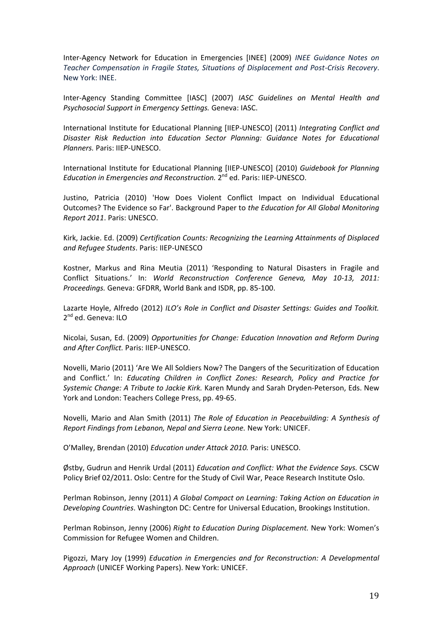Inter-Agency Network for Education in Emergencies [INEE] (2009) *INEE Guidance Notes on Teacher Compensation in Fragile States, Situations of Displacement and Post-Crisis Recovery*. New York: INEE.

Inter-Agency Standing Committee [IASC] (2007) *IASC Guidelines on Mental Health and Psychosocial Support in Emergency Settings.* Geneva: IASC.

International Institute for Educational Planning [IIEP-UNESCO] (2011) *Integrating Conflict and Disaster Risk Reduction into Education Sector Planning: Guidance Notes for Educational Planners.* Paris: IIEP-UNESCO.

International Institute for Educational Planning [IIEP-UNESCO] (2010) *Guidebook for Planning*  Education in Emergencies and Reconstruction. 2<sup>nd</sup> ed. Paris: IIEP-UNESCO.

Justino, Patricia (2010) 'How Does Violent Conflict Impact on Individual Educational Outcomes? The Evidence so Far'. Background Paper to *the Education for All Global Monitoring Report 2011*. Paris: UNESCO.

Kirk, Jackie. Ed. (2009) *Certification Counts: Recognizing the Learning Attainments of Displaced and Refugee Students*. Paris: IIEP-UNESCO

Kostner, Markus and Rina Meutia (2011) 'Responding to Natural Disasters in Fragile and Conflict Situations.' In: *World Reconstruction Conference Geneva, May 10-13, 2011: Proceedings.* Geneva: GFDRR, World Bank and ISDR, pp. 85-100.

Lazarte Hoyle, Alfredo (2012) *ILO's Role in Conflict and Disaster Settings: Guides and Toolkit.* 2<sup>nd</sup> ed. Geneva: ILO

Nicolai, Susan, Ed. (2009) *Opportunities for Change: Education Innovation and Reform During and After Conflict.* Paris: IIEP-UNESCO.

Novelli, Mario (2011) 'Are We All Soldiers Now? The Dangers of the Securitization of Education and Conflict.' In: *Educating Children in Conflict Zones: Research, Policy and Practice for Systemic Change: A Tribute to Jackie Kirk.* Karen Mundy and Sarah Dryden-Peterson, Eds. New York and London: Teachers College Press, pp. 49-65.

Novelli, Mario and Alan Smith (2011) *The Role of Education in Peacebuilding: A Synthesis of Report Findings from Lebanon, Nepal and Sierra Leone.* New York: UNICEF.

O'Malley, Brendan (2010) *Education under Attack 2010.* Paris: UNESCO.

Østby, Gudrun and Henrik Urdal (2011) *Education and Conflict: What the Evidence Says.* CSCW Policy Brief 02/2011. Oslo: Centre for the Study of Civil War, Peace Research Institute Oslo.

Perlman Robinson, Jenny (2011) *A Global Compact on Learning: Taking Action on Education in Developing Countries*. Washington DC: Centre for Universal Education, Brookings Institution.

Perlman Robinson, Jenny (2006) *Right to Education During Displacement.* New York: Women's Commission for Refugee Women and Children.

Pigozzi, Mary Joy (1999) *Education in Emergencies and for Reconstruction: A Developmental Approach* (UNICEF Working Papers). New York: UNICEF.